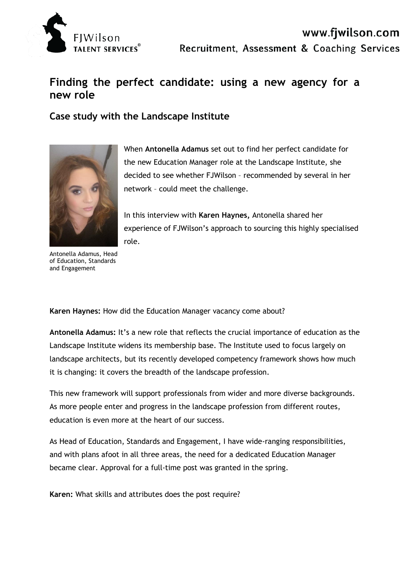

## **Finding the perfect candidate: using a new agency for a new role**

## **Case study with the Landscape Institute**



When **Antonella Adamus** set out to find her perfect candidate for the new Education Manager role at the Landscape Institute, she decided to see whether FJWilson – recommended by several in her network – could meet the challenge.

In this interview with **Karen Haynes,** Antonella shared her experience of FJWilson's approach to sourcing this highly specialised role.

Antonella Adamus, Head of Education, Standards and Engagement

**Karen Haynes:** How did the Education Manager vacancy come about?

**Antonella Adamus:** It's a new role that reflects the crucial importance of education as the Landscape Institute widens its membership base. The Institute used to focus largely on landscape architects, but its recently developed competency framework shows how much it is changing: it covers the breadth of the landscape profession.

This new framework will support professionals from wider and more diverse backgrounds. As more people enter and progress in the landscape profession from different routes, education is even more at the heart of our success.

As Head of Education, Standards and Engagement, I have wide-ranging responsibilities, and with plans afoot in all three areas, the need for a dedicated Education Manager became clear. Approval for a full-time post was granted in the spring.

**Karen:** What skills and attributes does the post require?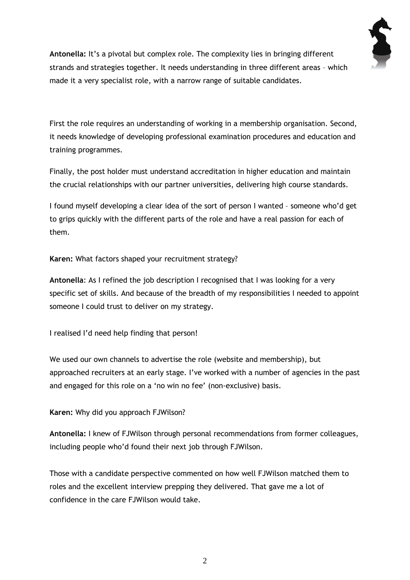

**Antonella:** It's a pivotal but complex role. The complexity lies in bringing different strands and strategies together. It needs understanding in three different areas – which made it a very specialist role, with a narrow range of suitable candidates.

First the role requires an understanding of working in a membership organisation. Second, it needs knowledge of developing professional examination procedures and education and training programmes.

Finally, the post holder must understand accreditation in higher education and maintain the crucial relationships with our partner universities, delivering high course standards.

I found myself developing a clear idea of the sort of person I wanted – someone who'd get to grips quickly with the different parts of the role and have a real passion for each of them.

**Karen:** What factors shaped your recruitment strategy?

**Antonella**: As I refined the job description I recognised that I was looking for a very specific set of skills. And because of the breadth of my responsibilities I needed to appoint someone I could trust to deliver on my strategy.

I realised I'd need help finding that person!

We used our own channels to advertise the role (website and membership), but approached recruiters at an early stage. I've worked with a number of agencies in the past and engaged for this role on a 'no win no fee' (non-exclusive) basis.

**Karen:** Why did you approach FJWilson?

**Antonella:** I knew of FJWilson through personal recommendations from former colleagues, including people who'd found their next job through FJWilson.

Those with a candidate perspective commented on how well FJWilson matched them to roles and the excellent interview prepping they delivered. That gave me a lot of confidence in the care FJWilson would take.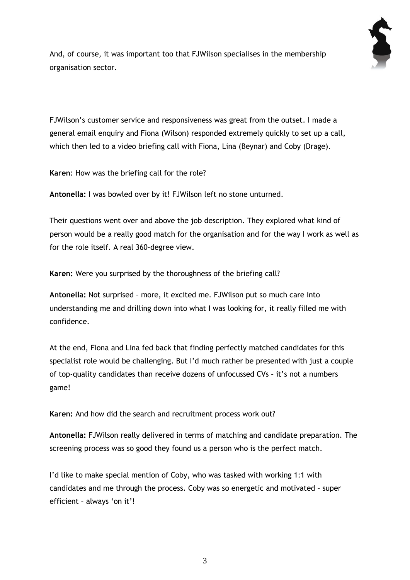

And, of course, it was important too that FJWilson specialises in the membership organisation sector.

FJWilson's customer service and responsiveness was great from the outset. I made a general email enquiry and Fiona (Wilson) responded extremely quickly to set up a call, which then led to a video briefing call with Fiona, Lina (Beynar) and Coby (Drage).

**Karen**: How was the briefing call for the role?

**Antonella:** I was bowled over by it! FJWilson left no stone unturned.

Their questions went over and above the job description. They explored what kind of person would be a really good match for the organisation and for the way I work as well as for the role itself. A real 360-degree view.

**Karen:** Were you surprised by the thoroughness of the briefing call?

**Antonella:** Not surprised – more, it excited me. FJWilson put so much care into understanding me and drilling down into what I was looking for, it really filled me with confidence.

At the end, Fiona and Lina fed back that finding perfectly matched candidates for this specialist role would be challenging. But I'd much rather be presented with just a couple of top-quality candidates than receive dozens of unfocussed CVs – it's not a numbers game!

**Karen:** And how did the search and recruitment process work out?

**Antonella:** FJWilson really delivered in terms of matching and candidate preparation. The screening process was so good they found us a person who is the perfect match.

I'd like to make special mention of Coby, who was tasked with working 1:1 with candidates and me through the process. Coby was so energetic and motivated – super efficient – always 'on it'!